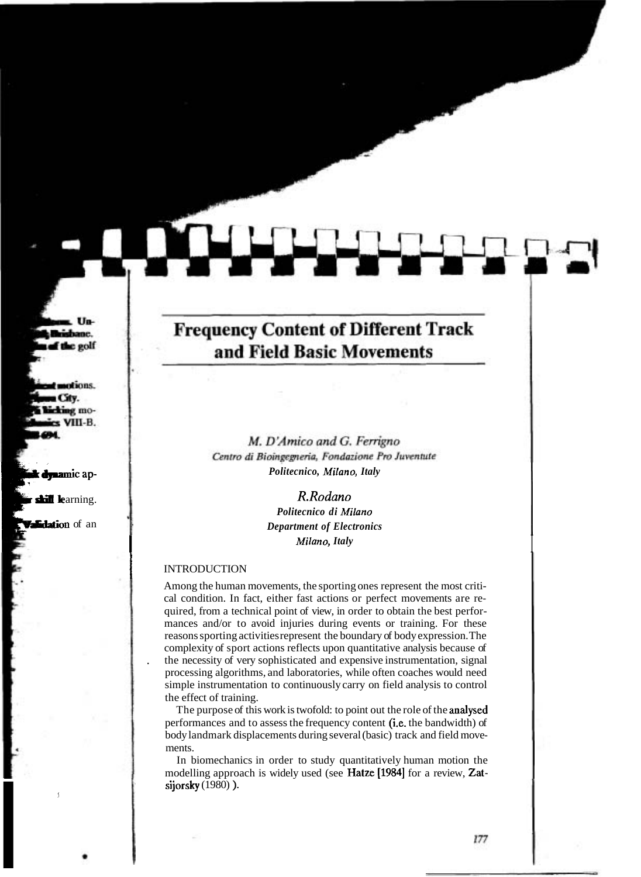# **Frequency Content of Different Track** and Field Basic Movements

M. D'Amico and G. Ferrigno Centro di Bioingegneria, Fondazione Pro Juventute *Politecnico, Milano, Italy* 

*R.Rodano* 

*Politecnico di Milano Department of Electronics Milano, Italy*<br>INTRODUCTION

Among the human movements, the sporting ones represent the most critical condition. In fact, either fast actions or perfect movements are required, from a technical point of view, in order to obtain the best performances and/or to avoid injuries during events or training. For these reasons sporting activities represent the boundary of body expression. The complexity of sport actions reflects upon quantitative analysis because of . the necessity of very sophisticated and expensive instrumentation, signal processing algorithms, and laboratories, while often coaches would need simple instrumentation to continuously carry on field analysis to control the effect of training.

The purpose of this work is twofold: to point out the role of the analysed performances and to assess the frequency content (i.e. the bandwidth) of body landmark displacements during several (basic) track and field movements.

In biomechanics in order to study quantitatively human motion the modelling approach is widely used (see Hatze [1984] for a review, Zatsijorsky (1980) ).<br> $\blacksquare$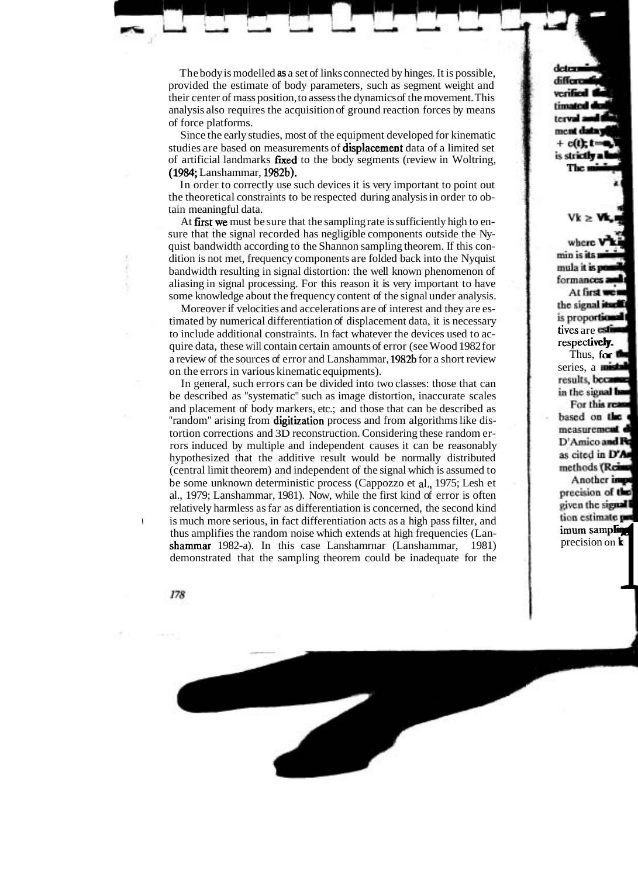The body is modelled **as** a set of links connected by hinges. It is possible, provided the estimate of body parameters, such as segment weight and their center of mass position, to assess the dynamics of the movement. This analysis also requires the acquisition of ground reaction forces by means of force platforms.

Since the early studies, most of the equipment developed for kinematic studies are based on measurements of **displacement** data of a limited set of artificial landmarks fixed to the body segments (review in Woltring, (1984, Lanshammar, 1982b).

In order to correctly use such devices it is very important to point out the theoretical constraints to be respected during analysis in order to obtain meaningful data.

At first we must be sure that the sampling rate is sufficiently high to ensure that the signal recorded has negligible components outside the Nyquist bandwidth according to the Shannon sampling theorem. If this condition is not met, frequency components are folded back into the Nyquist bandwidth resulting in signal distortion: the well known phenomenon of aliasing in signal processing. For this reason it is very important to have some knowledge about the frequency content of the signal under analysis.

Moreover if velocities and accelerations are of interest and they are estimated by numerical differentiation of displacement data, it is necessary to include additional constraints. In fact whatever the devices used to acquire data, these will contain certain amounts of error (see Wood 1982 for a review of the sources of error and Lanshammar, 1982b for a short review on the errors in various kinematic equipments).

In general, such errors can be divided into two classes: those that can be described as "systematic" such as image distortion, inaccurate scales and placement of body markers, etc.; and those that can be described as "random" arising from digitization process and from algorithms like distortion corrections and 3D reconstruction. Considering these random errors induced by multiple and independent causes it can be reasonably hypothesized that the additive result would be normally distributed (central limit theorem) and independent of the signal which is assumed to be some unknown deterministic process (Cappozzo et **al.,** 1975; Lesh et al., 1979; Lanshammar, 1981). Now, while the first kind of error is often relatively harmless as far as differentiation is concerned, the second kind is much more serious, in fact differentiation acts as a high pass filter, and thus amplifies the random noise which extends at high frequencies (Lanshammar 1982-a). In this case Lanshamrnar (Lanshammar, 1981) demonstrated that the sampling theorem could be inadequate for the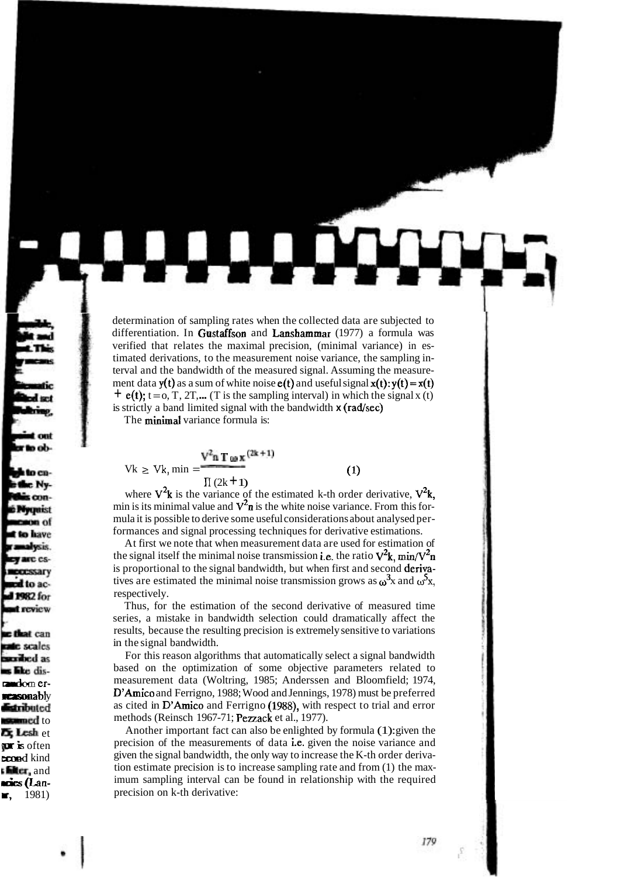determination of sampling rates when the collected data are subjected to differentiation. In Gustaffson and Lanshammar (1977) a formula was verified that relates the maximal precision, (minimal variance) in estimated derivations, to the measurement noise variance, the sampling interval and the bandwidth of the measured signal. Assuming the measurement data  $y(t)$  as a sum of white noise  $e(t)$  and useful signal  $x(t): y(t) = x(t)$  $+$  e(t); t = 0, T, 2T,... (T is the sampling interval) in which the signal x (t) is strictly a band limited signal with the bandwidth **x** (rad/sec)

The minimal variance formula is:

$$
Vk \geq Vk, \min = \frac{V^{2} \cdot \mathbf{n} \cdot \mathbf{T} \cdot \mathbf{w} \cdot \mathbf{x}^{(2k+1)}}{\prod (2k+1)}
$$

(1)

where  $V^2k$  is the variance of the estimated k-th order derivative,  $V^2k$ , min is its minimal value and  $V^2$ n is the white noise variance. From this formula it is possible to derive some useful considerations about analysed performances and signal processing techniques for derivative estimations.

At first we note that when measurement data are used for estimation of the signal itself the minimal noise transmission i.e. the ratio  $V^2$ k, min/ $V^2$ n is proportional to the signal bandwidth, but when first and second derivatives are estimated the minimal noise transmission grows as  $\omega^3$ x and  $\omega^5$ x, respectively.

Thus, for the estimation of the second derivative of measured time series, a mistake in bandwidth selection could dramatically affect the results, because the resulting precision is extremely sensitive to variations in the signal bandwidth.

For this reason algorithms that automatically select a signal bandwidth based on the optimization of some objective parameters related to measurement data (Woltring, 1985; Anderssen and Bloomfield; 1974, D'Amico and Ferrigno, 1988; Wood and Jennings, 1978) must be preferred as cited in D'Amico and Ferrigno (1988), with respect to trial and error methods (Reinsch 1967-71; Pezzack et al., 1977).

Another important fact can also be enlighted by formula (1): given the precision of the measurements of data i.e. given the noise variance and given the signal bandwidth, the only way to increase the K-th order derivation estimate precision is to increase sampling rate and from (1) the maximum sampling interval can be found in relationship with the required precision on k-th derivative:

179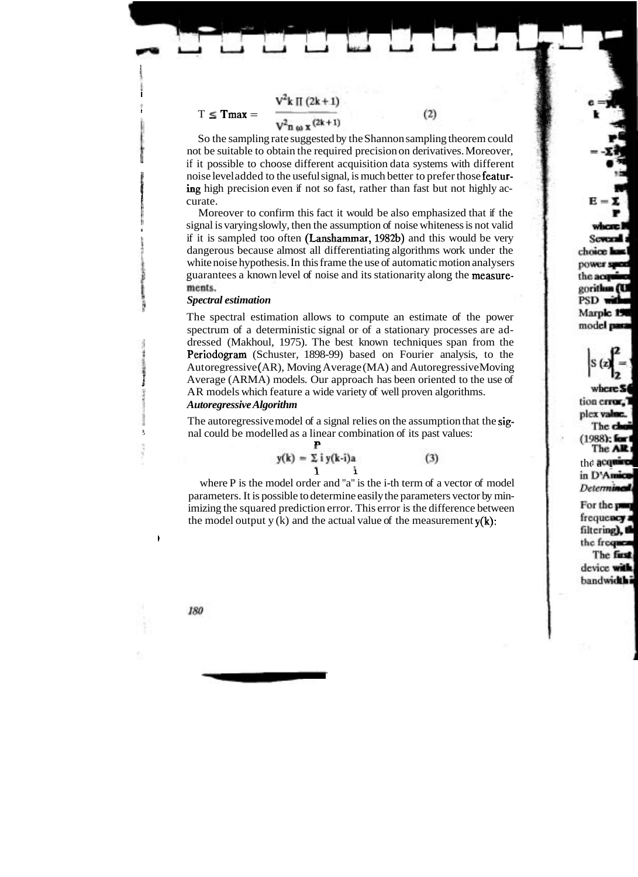$$
V^2 k \prod (2k+1)
$$

#### $T \leq T$ max =

 $V^2$ n 40 x  $(2k+1)$ 

So the sampling rate suggested by the Shannon sampling theorem could not be suitable to obtain the required precision on derivatives. Moreover, **I,** if it possible to choose different acquisition data systems with different *1* noise level added to the useful signal, is much better to prefer those featuring high precision even if not so fast, rather than fast but not highly accurate.

 $(2)$ 

Moreover to confirm this fact it would be also emphasized that if the *n* is varying slowly, then the assumption of noise whiteness is not valid if it is sampled too often  $(Lanshammar, 1982b)$  and this would be very dangerous because almost all differentiating algorithms work under the white noise hypothesis. In this frame the use of automatic motion analysers guarantees a known level of noise and its stationarity along the measurements.

#### *Spectral estimation*

The spectral estimation allows to compute an estimate of the power spectrum of a deterministic signal or of a stationary processes are addressed (Makhoul, 1975). The best known techniques span from the **Periodogram** (Schuster, 1898-99) based on Fourier analysis, to the Aut oregressive ( AR), Moving Average (MA) and Autoregressive Moving Average (ARMA) models. Our approach has been oriented to the use of AR models which feature a wide variety of well proven algorithms.

## *Autoregressive Algorithm*

The autoregressive model of a signal relies on the assumption that the signal could be modelled as a linear combination of its past values:

$$
y(k) = \sum_{i=1}^{k} i y(k-i)a
$$
 (3)

where P is the model order and "a" is the i-th term of a vector of model parameters. It is possible to determine easily the parameters vector by minimizing the squared prediction error. This error is the difference between the model output y (k) and the actual value of the measurement  $y(k)$ :

I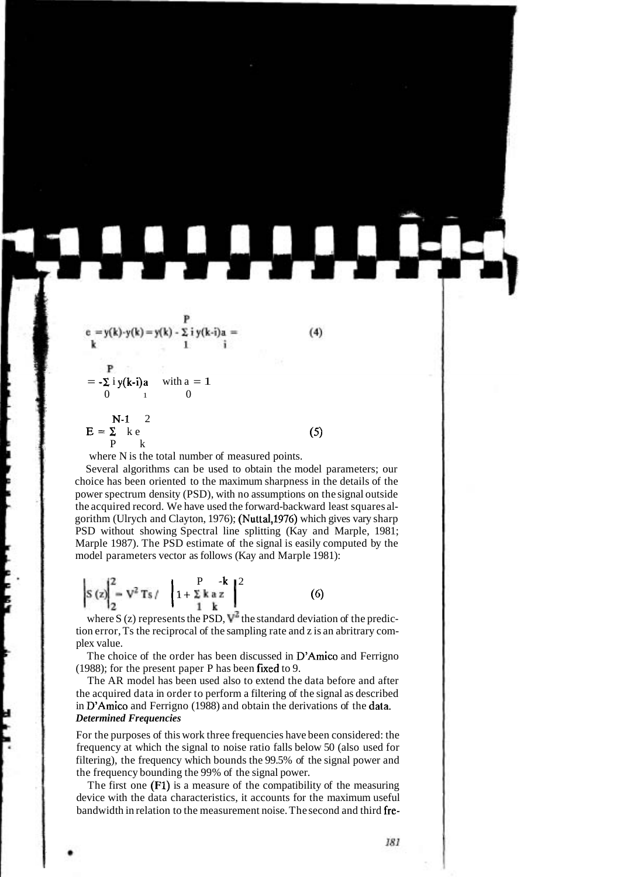$$
e = y(k)-y(k) = y(k) - \sum_{k=1}^{p} iy(k-i)a =
$$
\n
$$
y(k-i)a = 1
$$
\n
$$
y(k-i)a = 1
$$
\n
$$
y(k-i)a = 1
$$
\n
$$
y(k-i)a = 1
$$
\n
$$
y(k-i)a = 1
$$
\n
$$
y(k-i)a = 1
$$
\n
$$
y(k-i)a = 1
$$
\n
$$
y(k-i)a = 1
$$
\n
$$
y(k-i)a = 1
$$
\n
$$
y(k-i)a = 1
$$
\n
$$
y(k-i)a = 1
$$
\n
$$
y(k-i)a = 1
$$
\n
$$
y(k-i)a = 1
$$
\n
$$
y(k-i)a = 1
$$
\n
$$
y(k-i)a = 1
$$
\n
$$
y(k-i)a = 1
$$
\n
$$
y(k-i)a = 1
$$
\n
$$
y(k-i)a = 1
$$
\n
$$
y(k-i)a = 1
$$
\n
$$
y(k-i)a = 1
$$
\n
$$
y(k-i)a = 1
$$
\n
$$
y(k-i)a = 1
$$
\n
$$
y(k-i)a = 1
$$
\n
$$
y(k-i)a = 1
$$
\n
$$
y(k-i)a = 1
$$
\n
$$
y(k-i)a = 1
$$
\n
$$
y(k-i)a = 1
$$
\n
$$
y(k-i)a = 1
$$
\n
$$
y(k-i)a = 1
$$
\n
$$
y(k-i)a = 1
$$
\n
$$
y(k-i)a = 1
$$
\n
$$
y(k-i)a = 1
$$
\n
$$
y(k-i)a = 1
$$
\n
$$
y(k-i)a = 1
$$
\n
$$
y(k-i)a = 1
$$
\n
$$
y(k-i)a = 1
$$
\n
$$
y(k-i)a = 1
$$
\n
$$
y(k-i)a = 1
$$
\n
$$
y(k-i)a = 1
$$
\n
$$
y(k-i)a = 1
$$
\n
$$
y(k-i)a = 1
$$
\n
$$
y(k-i)a = 1
$$
\n
$$
y(k-i)a = 1
$$

where N is the total number of measured points.

Several algorithms can be used to obtain the model parameters; our choice has been oriented to the maximum sharpness in the details of the power spectrum density (PSD), with no assumptions on the signal outside the acquired record. We have used the forward-backward least squares algorithm (Ulrych and Clayton, 1976); (Nuttal,1976) which gives vary sharp PSD without showing Spectral line splitting (Kay and Marple, 1981; Marple 1987). The PSD estimate of the signal is easily computed by the model parameters vector as follows (Kay and Marple 1981):

$$
\left| S(z) \right|_{2}^{2} = V^{2} T s / \left| 1 + \sum_{1}^{P} k a z \right|^{2}
$$
 (6)

where S (z) represents the PSD,  $V^2$  the standard deviation of the prediction error, Ts the reciprocal of the sampling rate and z is an abritrary complex value.

The choice of the order has been discussed in D'Amico and Ferrigno (1988); for the present paper P has been fixed to 9.

The AR model has been used also to extend the data before and after the acquired data in order to perform a filtering of the signal as described in D'Amico and Ferrigno (1988) and obtain the derivations of the data. *Determined Frequencies* 

For the purposes of this work three frequencies have been considered: the frequency at which the signal to noise ratio falls below 50 (also used for filtering), the frequency which bounds the 99.5% of the signal power and the frequency bounding the 99% of the signal power.

The first one (Fl) is a measure of the compatibility of the measuring device with the data characteristics, it accounts for the maximum useful bandwidth in relation to the measurement noise. The second and third fre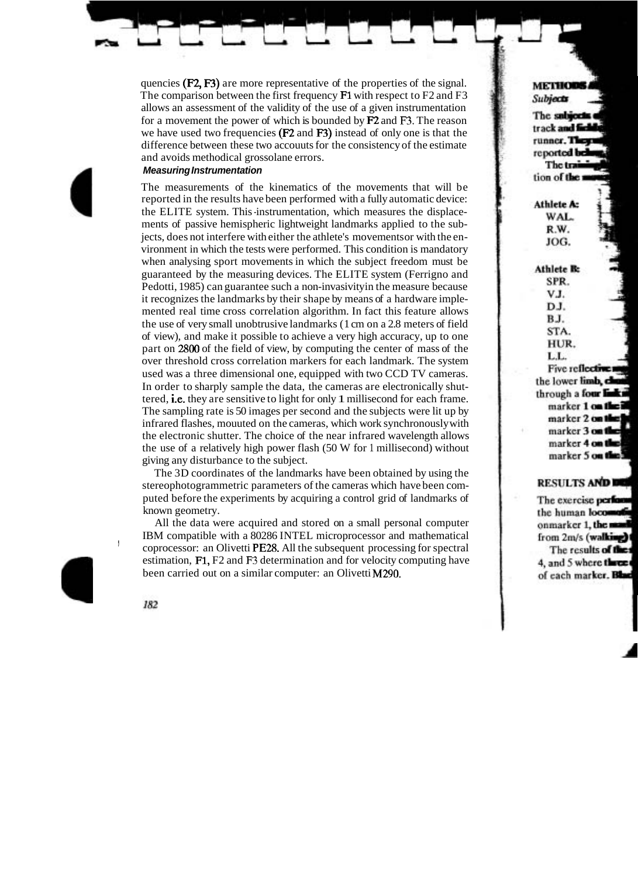quencies (F2, F3) are more representative of the properties of the signal. The comparison between the first frequency F1 with respect to F2 and F3 allows an assessment of the validity of the use of a given instrumentation for a movement the power of which is bounded by F2 and **F3.** The reason we have used two frequencies (F2 and F3) instead of only one is that the difference between these two accouuts for the consistency of the estimate and avoids methodical grossolane errors.

# **Measuring Instrumentation**

The measurements of the kinematics of the movements that will be reported in the results have been performed with a fully automatic device: the ELITE system. This -instrumentation, which measures the displacements of passive hemispheric lightweight landmarks applied to the subjects, does not interfere with either the athlete's movements or with the environment in which the tests were performed. This condition is mandatory when analysing sport movements in which the subject freedom must be guaranteed by the measuring devices. The ELITE system (Ferrigno and Pedotti, 1985) can guarantee such a non-invasivity in the measure because it recognizes the landmarks by their shape by means of a hardware implemented real time cross correlation algorithm. In fact this feature allows the use of very small unobtrusive landmarks (1 cm on a 2.8 meters of field of view), and make it possible to achieve a very high accuracy, up to one part on 2800 of the field of view, by computing the center of mass of the over threshold cross correlation markers for each landmark. The system used was a three dimensional one, equipped with two CCD TV cameras. In order to sharply sample the data, the cameras are electronically shuttered, i.e. they are sensitive to light for only 1 millisecond for each frame. The sampling rate is 50 images per second and the subjects were lit up by infrared flashes, mouuted on the cameras, which work synchronously with the electronic shutter. The choice of the near infrared wavelength allows the use of a relatively high power flash (50 W for 1 millisecond) without giving any disturbance to the subject.

The 3D coordinates of the landmarks have been obtained by using the stereophotogrammetric parameters of the cameras which have been computed before the experiments by acquiring a control grid of landmarks of known geometry.

All the data were acquired and stored on a small personal computer , IBM compatible with a 80286 INTEL microprocessor and mathematical coprocessor: an Olivetti PE28. All the subsequent processing for spectral estimation, F1, F2 and **F3** determination and for velocity computing have been carried out on a similar computer: an Olivetti M290.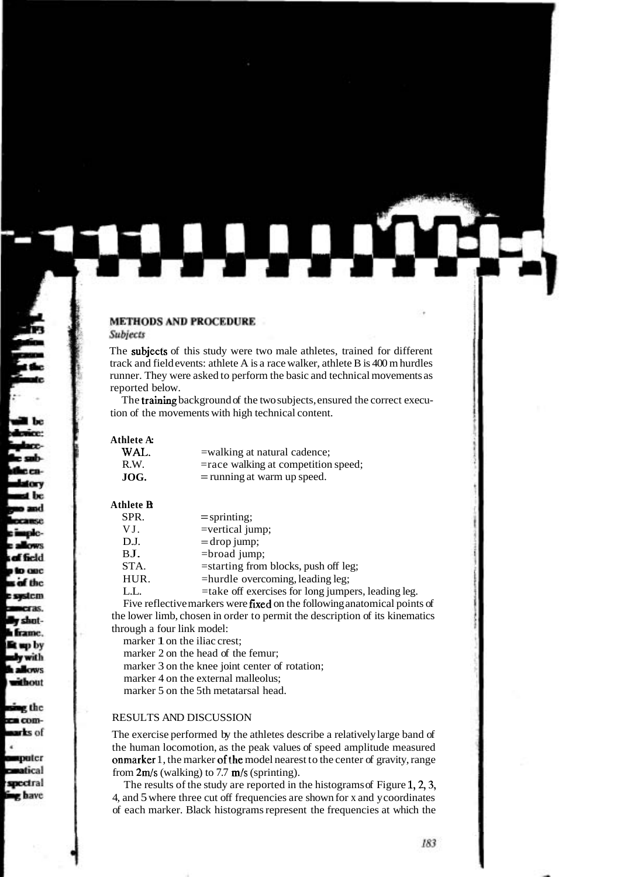#### **METHODS AND PROCEDURE**

#### Subjects

The subjects of this study were two male athletes, trained for different track and field events: athlete A is a race walker, athlete B is 400 m hurdles runner. They were asked to perform the basic and technical movements as reported below.

The training background of the two subjects, ensured the correct execution of the movements with high technical content.

| Athlete A: |                                     |
|------------|-------------------------------------|
| WAL.       | =walking at natural cadence;        |
| R.W.       | =race walking at competition speed; |
| JOG.       | $=$ running at warm up speed.       |

#### **Athlete B:**

| SPR. | $=$ sprinting;                                     |
|------|----------------------------------------------------|
| VJ.  | $=$ vertical jump;                                 |
| D.J. | $=$ drop jump;                                     |
| BJ.  | $=$ broad jump;                                    |
| STA. | $=$ starting from blocks, push off leg;            |
| HUR. | =hurdle overcoming, leading leg;                   |
| LL.  | =take off exercises for long jumpers, leading leg. |

Five reflective markers were fixed on the following anatomical points of the lower limb, chosen in order to permit the description of its kinematics through a four link model:

marker 1 on the iliac crest;

marker 2 on the head of the femur;

marker 3 on the knee joint center of rotation;

marker 4 on the external malleolus;

marker 5 on the 5th metatarsal head.

# RESULTS AND DISCUSSION

The exercise performed by the athletes describe a relatively large band of the human locomotion, as the peak values of speed amplitude measured onmarker 1, the marker of the model nearest to the center of gravity, range from  $2m/s$  (walking) to 7.7 m/s (sprinting).

The results of the study are reported in the histograms of Figure 1, 2, 3, 4, and 5 where three cut off frequencies are shown for x and y coordinates of each marker. Black histograms represent the frequencies at which the

. .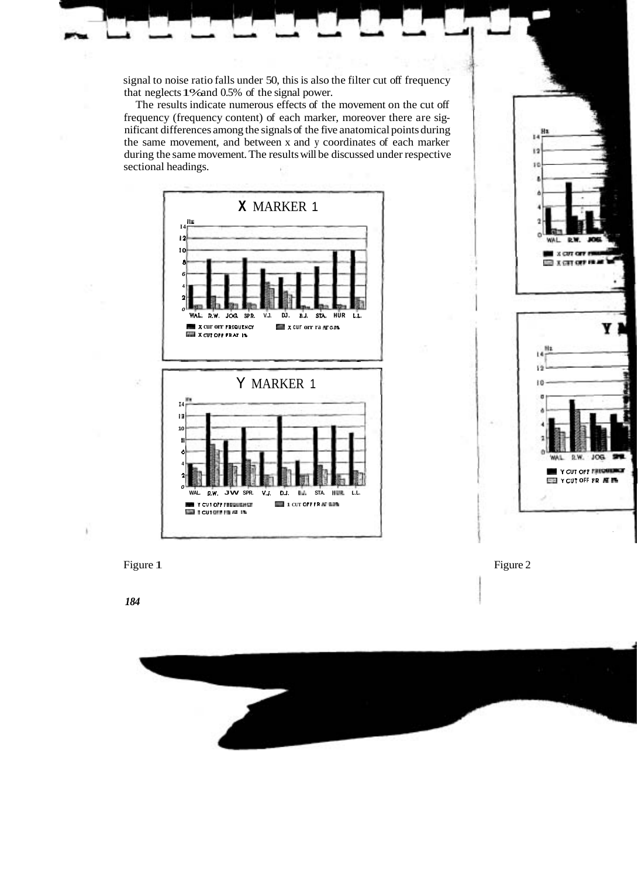signal to noise ratio falls under 50, this is also the filter cut off frequency that neglects 1% and 0.5% of the signal power.

The results indicate numerous effects of the movement on the cut off frequency (frequency content) of each marker, moreover there are significant differences among the signals of the five anatomical points during the same movement, and between x and y coordinates of each marker during the same movement. The results will be discussed under respective sectional headings.







*184*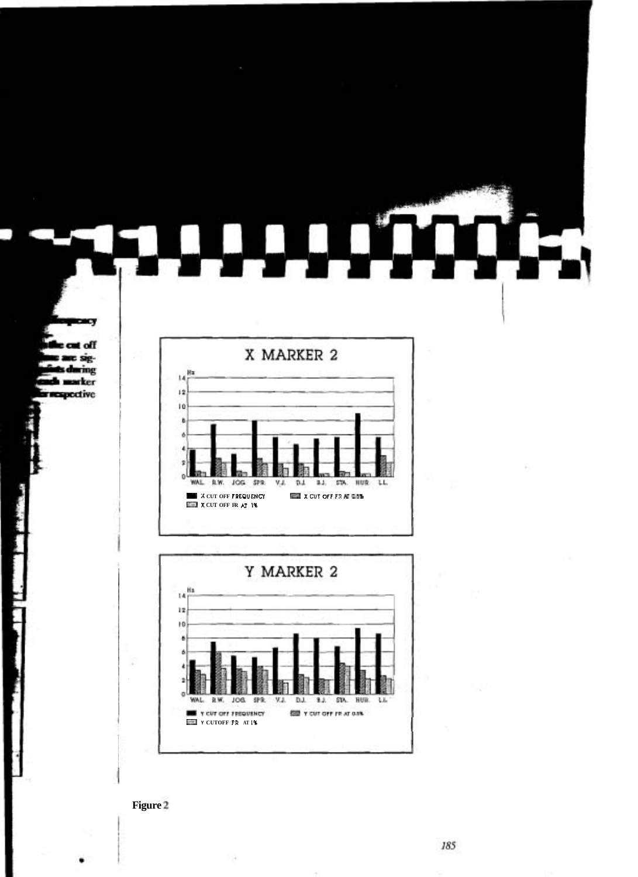

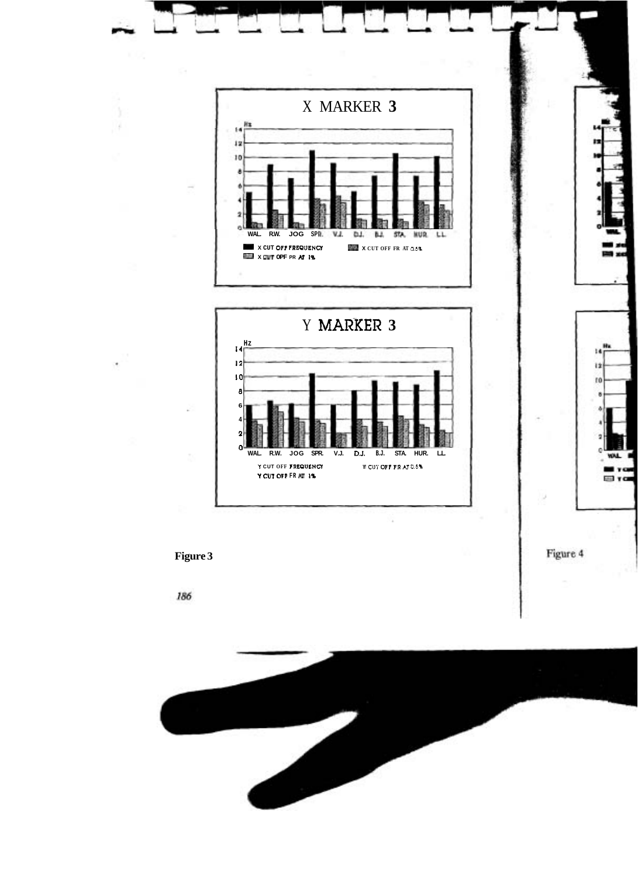

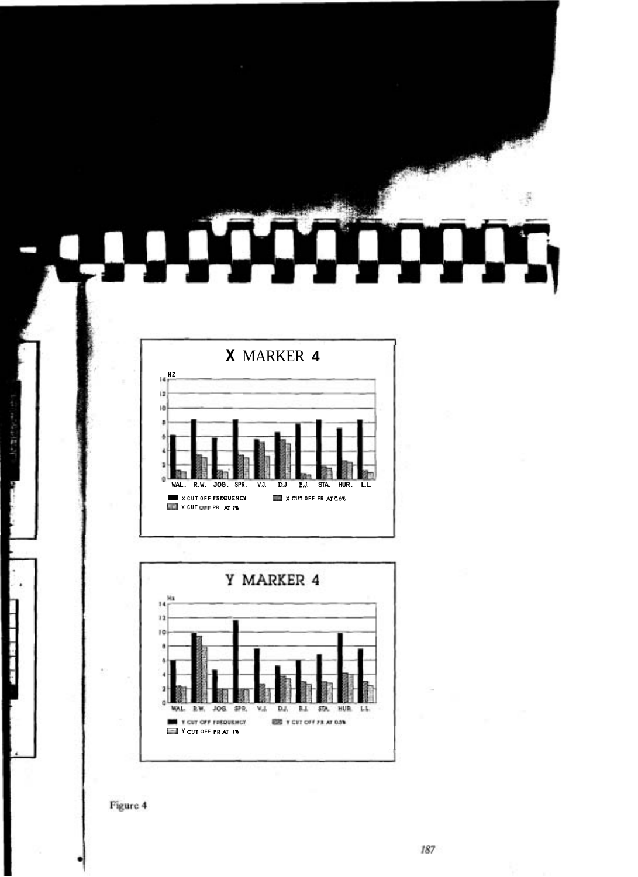

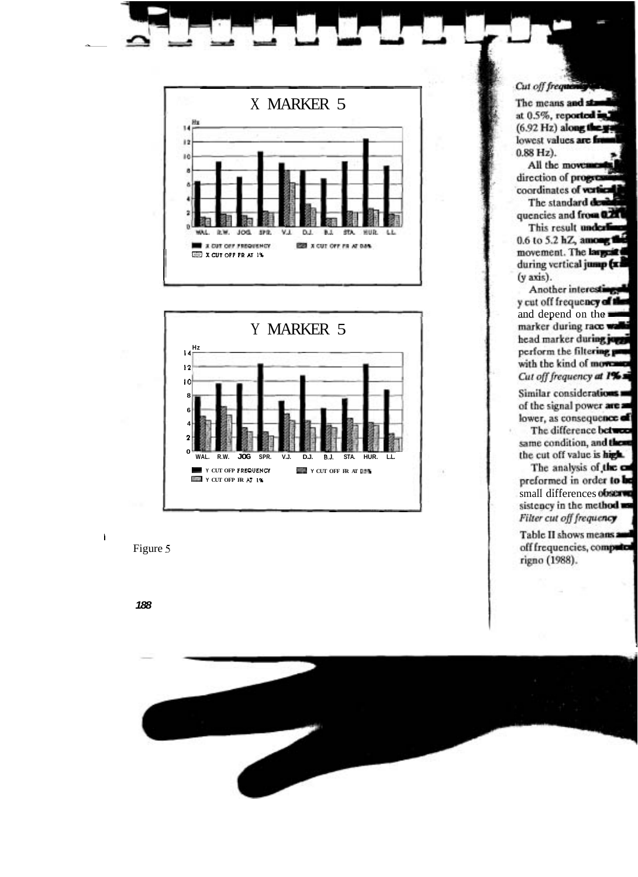

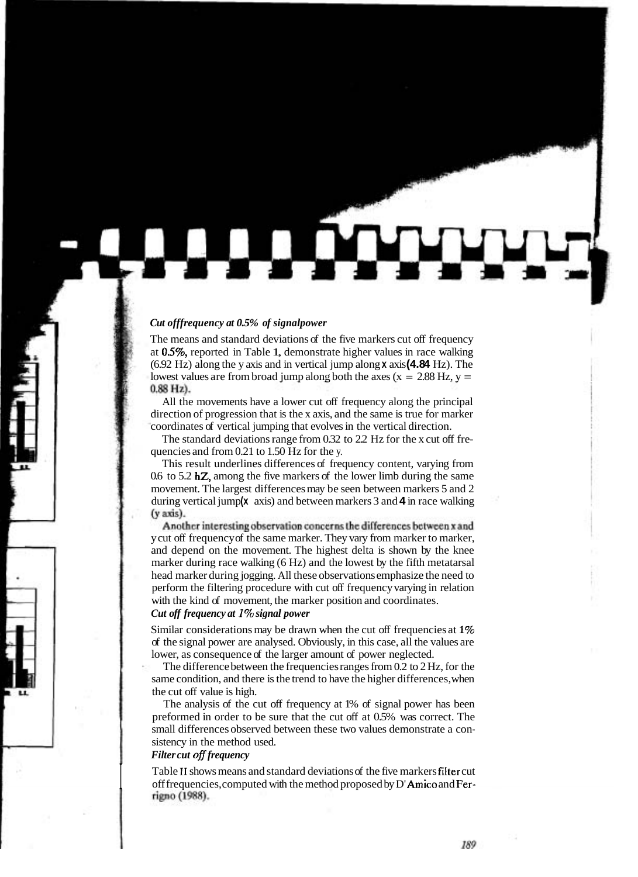#### *Cut offfrequency at 0.5% of signalpower*

The means and standard deviations of the five markers cut off frequency at 0.5%, reported in Table 1, demonstrate higher values in race walking (6.92 Hz) along the y axis and in vertical jump along **x** axis **(4.84** Hz). The lowest values are from broad jump along both the axes ( $x = 2.88$  Hz,  $y =$  $0.88$  Hz).

All the movements have a lower cut off frequency along the principal direction of progression that is the x axis, and the same is true for marker coordinates of vertical jumping that evolves in the vertical direction.

The standard deviations range from 0.32 to 2.2 Hz for the x cut off frequencies and from 0.21 to 1.50 Hz for the y.

This result underlines differences of frequency content, varying from 0.6 to 5.2 hZ, among the five markers of the lower limb during the same movement. The largest differences may be seen between markers 5 and 2 during vertical jump(x axis) and between markers 3 and 4 in race walking (y axis).

Another interesting observation concerns the differences between x and y cut off frequency of the same marker. They vary from marker to marker, and depend on the movement. The highest delta is shown by the knee marker during race walking (6 Hz) and the lowest by the fifth metatarsal head marker during jogging. All these observations emphasize the need to perform the filtering procedure with cut off frequency varying in relation with the kind of movement, the marker position and coordinates.

# *Cut off frequency at* 170 *signal power*

Similar considerations may be drawn when the cut off frequencies at 1% of the signal power are analysed. Obviously, in this case, all the values are lower, as consequence of the larger amount of power neglected.

The difference between the frequencies ranges from 0.2 to 2 Hz, for the same condition, and there is the trend to have the higher differences, when the cut off value is high.

The analysis of the cut off frequency at 1% of signal power has been preformed in order to be sure that the cut off at 0.5% was correct. The small differences observed between these two values demonstrate a consistency in the method used.

## *Filter cut ofl frequency*

Table II shows means and standard deviations of the five markers **filter** cut off frequencies, computed with the method proposed by D'**Amico** and Fer-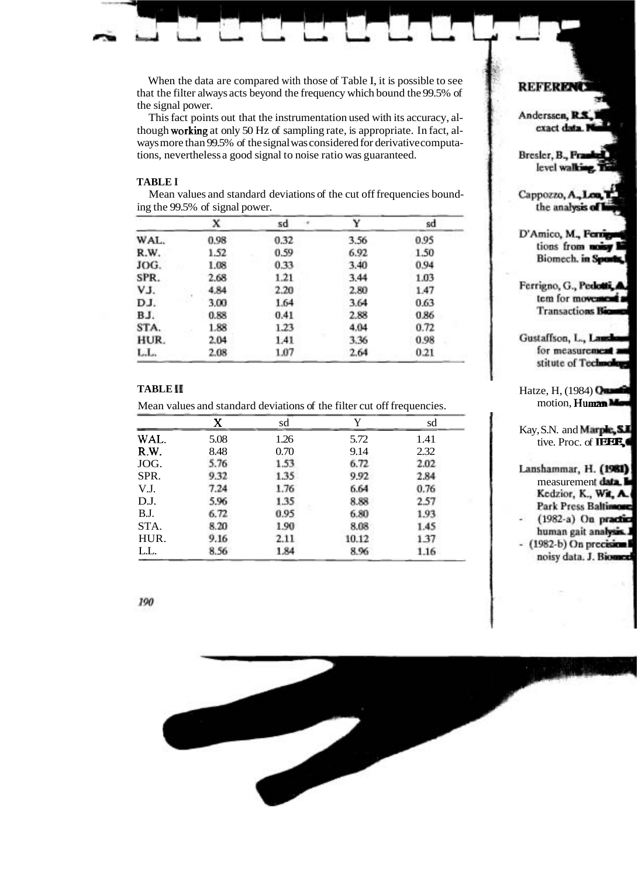When the data are compared with those of Table I, it is possible to see that the filter always acts beyond the frequency which bound the 99.5% of the signal power.

This fact points out that the instrumentation used with its accuracy, although working at only 50 Hz of sampling rate, is appropriate. In fact, always more than 99.5% of the signal was considered for derivative computations, nevertheless a good signal to noise ratio was guaranteed.

#### **TABLE I**

|      | x    | sd   | v    | sd   |
|------|------|------|------|------|
| WAL. | 0.98 | 0.32 | 3.56 | 0.95 |
| R.W. | 1.52 | 0.59 | 6.92 | 1.50 |
| JOG. | 1.08 | 0.33 | 3.40 | 0.94 |
| SPR. | 2.68 | 1.21 | 3.44 | 1.03 |
| VJ.  | 4.84 | 2.20 | 2.80 | 1.47 |
| DJ.  | 3.00 | 1.64 | 3.64 | 0.63 |
| BJ.  | 0.88 | 0.41 | 2.88 | 0.86 |
| STA. | 1.88 | 1.23 | 4.04 | 0.72 |
| HUR. | 2.04 | 1.41 | 3.36 | 0.98 |
| LL.  | 2.08 | 1.07 | 2.64 | 0.21 |

Mean values and standard deviations of the cut off frequencies bounding the 99.5% of signal power.

#### **TABLE I1**

Mean values and standard deviations of the filter cut off frequencies.

| X    | sd   | v     | sd   |  |
|------|------|-------|------|--|
| 5.08 | 1.26 | 5.72  | 1.41 |  |
| 8.48 | 0.70 | 9.14  | 2.32 |  |
| 5.76 | 1.53 | 6.72  | 2.02 |  |
| 9.32 | 1.35 | 9.92  | 2.84 |  |
| 7.24 | 1.76 | 6.64  | 0.76 |  |
| 5.96 | 1.35 | 8.88  | 2.57 |  |
| 6.72 | 0.95 | 6.80  | 1.93 |  |
| 8.20 | 1.90 | 8.08  | 1.45 |  |
| 9.16 | 2.11 | 10.12 | 1.37 |  |
| 8.56 | 1.84 | 8.96  | 1.16 |  |
|      |      |       |      |  |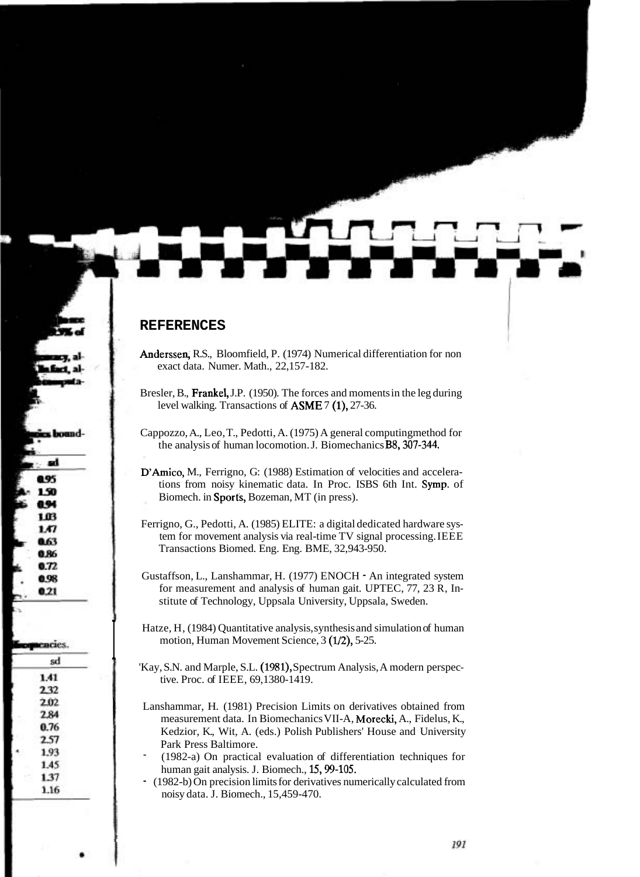#### **REFERENCES**

- Anderssen, R.S., Bloomfield, P. (1974) Numerical differentiation for non exact data. Numer. Math., 22,157-182.
- Bresler, B., Frankel, J.P. (1950). The forces and moments in the leg during level walking. Transactions of ASME 7 (I), 27-36.
- Cappozzo, A., Leo, T., Pedotti, A. (1975) A general computingmethod for the analysis of human locomotion. J. Biomechanics B8, 307-344.
- D'Amico, M., Ferrigno, G: (1988) Estimation of velocities and accelerations from noisy kinematic data. In Proc. ISBS 6th Int. Symp. of Biomech. in Sports, Bozeman, MT (in press).
- Ferrigno, G., Pedotti, A. (1985) ELITE: a digital dedicated hardware system for movement analysis via real-time TV signal processing. IEEE Transactions Biomed. Eng. Eng. BME, 32,943-950.
- Gustaffson, L., Lanshammar, H. (1977) ENOCH An integrated system for measurement and analysis of human gait. UPTEC, 77, 23 R, Institute of Technology, Uppsala University, Uppsala, Sweden.
- Hatze, H, (1984) Quantitative analysis, synthesis and simulation of human motion, Human Movement Science, 3 (1/2), 5-25.
- 'Kay, S.N. and Marple, S.L. (1981), Spectrum Analysis, A modern perspective. Proc. of IEEE, 69,1380-1419.
	- Lanshammar, H. (1981) Precision Limits on derivatives obtained from measurement data. In Biomechanics VII-A, Morecki, A., Fidelus, K., Kedzior, K., Wit, A. (eds.) Polish Publishers' House and University Park Press Baltimore.<br>(1982-a) On practical evaluation of differentiation techniques for
	- human gait analysis. J. Biomech., 15, 99-105.
	- (1982-b) On precision limits for derivatives numerically calculated from noisy data. J. Biomech., 15,459-470.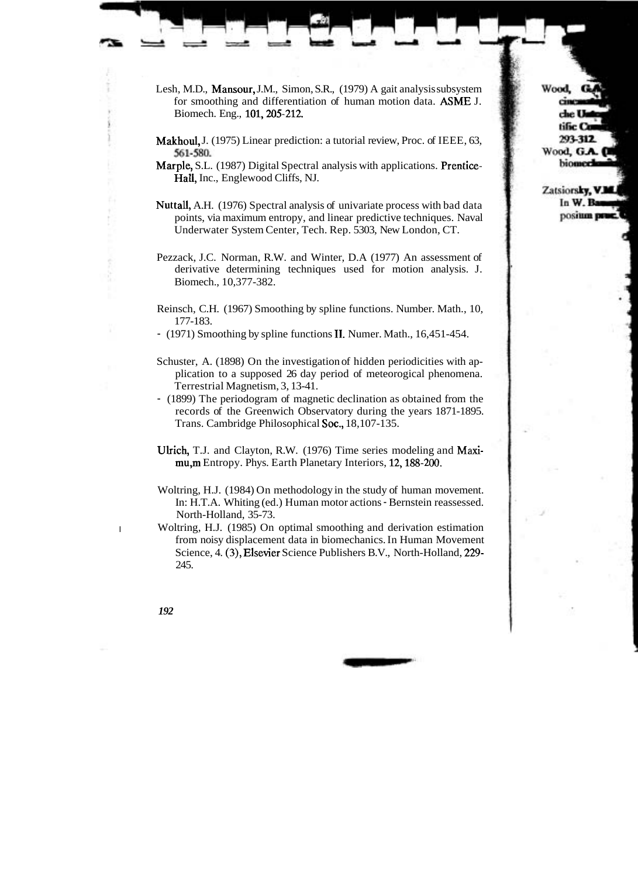- Lesh, M.D., Mansour, J.M., Simon, S.R., (1979) A gait analysis subsystem for smoothing and differentiation of human motion data. ASME J. Biomech. Eng., 101,205-212.
- Makhoul, J. (1975) Linear prediction: a tutorial review, Proc. of IEEE, 63, 561-580.
- Marple, S.L. (1987) Digital Spectral analysis with applications. Prentice-Hall, Inc., Englewood Cliffs, NJ.
- Nuttall, A.H. (1976) Spectral analysis of univariate process with bad data points, via maximum entropy, and linear predictive techniques. Naval Underwater System Center, Tech. Rep. 5303, New London, CT.
- Pezzack, J.C. Norman, R.W. and Winter, D.A (1977) An assessment of derivative determining techniques used for motion analysis. J. Biomech., 10,377-382.
- Reinsch, C.H. (1967) Smoothing by spline functions. Number. Math., 10, 177-183.
- (1971) Smoothing by spline functions 11. Numer. Math., 16,451-454.
- Schuster, A. (1898) On the investigation of hidden periodicities with application to a supposed 26 day period of meteorogical phenomena. Terrestrial Magnetism, 3, 13-41.
- (1899) The periodogram of magnetic declination as obtained from the records of the Greenwich Observatory during the years 1871-1895. Trans. Cambridge Philosophical Soc., 18,107-135.
- Ulrich, T.J. and Clayton, R.W. (1976) Time series modeling and Maximu,m Entropy. Phys. Earth Planetary Interiors, 12,188-200.
- Woltring, H.J. (1984) On methodology in the study of human movement. In: H.T.A. Whiting (ed.) Human motor actions - Bernstein reassessed. North-Holland, 35-73.
- I Woltring, H.J. (1985) On optimal smoothing and derivation estimation from noisy displacement data in biomechanics. In Human Movement Science, 4. **(3),** Elsevier Science Publishers B.V., North-Holland, 229- 245.